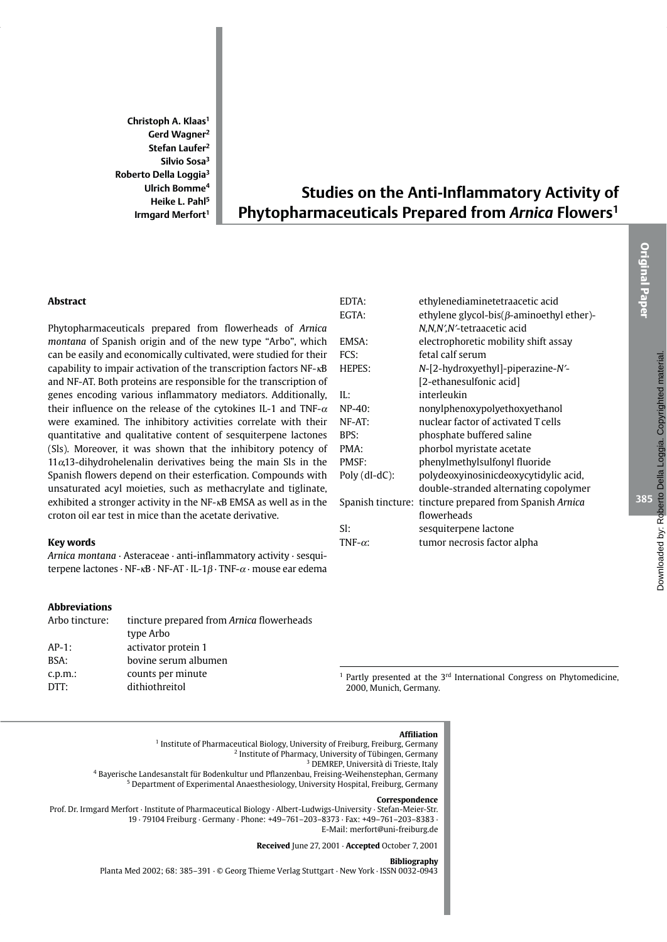Christoph A. Klaas<sup>1</sup> Gerd Wagner<sup>2</sup> Stefan Laufer<sup>2</sup> Silvio Sosa<sup>3</sup> Roberto Della Loggia<sup>3</sup> Ulrich Bomme<sup>4</sup> Heike L. Pahl<sup>5</sup> Irmgard Merfort<sup>1</sup>

# **Studies on the Anti-Inflammatory Activity of** Phytopharmaceuticals Prepared from Arnica Flowers<sup>1</sup>

# **Abstract**

Phytopharmaceuticals prepared from flowerheads of Arnica montana of Spanish origin and of the new type "Arbo", which can be easily and economically cultivated, were studied for their capability to impair activation of the transcription factors  $NF - \kappa B$ and NF-AT. Both proteins are responsible for the transcription of genes encoding various inflammatory mediators. Additionally, their influence on the release of the cytokines IL-1 and TNF- $\alpha$ were examined. The inhibitory activities correlate with their quantitative and qualitative content of sesquiterpene lactones (SIs). Moreover, it was shown that the inhibitory potency of  $11\alpha$ ,13-dihydrohelenalin derivatives being the main Sls in the Spanish flowers depend on their esterfication. Compounds with unsaturated acyl moieties, such as methacrylate and tiglinate, exhibited a stronger activity in the NF-<sub>KB</sub> EMSA as well as in the croton oil ear test in mice than the acetate derivative.

#### **Key words**

Arnica montana · Asteraceae · anti-inflammatory activity · sesquiterpene lactones  $\cdot$  NF- $\kappa$ B $\cdot$  NF-AT $\cdot$  IL-1 $\beta$  $\cdot$  TNF- $\alpha$  $\cdot$  mouse ear edema

# **Abbreviations**

| Arbo tincture:     | tincture prepared from Arnica flowerheads<br>type Arbo |  |  |
|--------------------|--------------------------------------------------------|--|--|
| $AP-1$ :           | activator protein 1                                    |  |  |
| BSA:               | bovine serum albumen                                   |  |  |
| $c.p.m.$ :<br>DTT: | counts per minute<br>dithiothreitol                    |  |  |

| EDTA:           | ethylenediaminetetraacetic acid                         |  |  |  |
|-----------------|---------------------------------------------------------|--|--|--|
| EGTA:           | ethylene glycol-bis( $\beta$ -aminoethyl ether)-        |  |  |  |
|                 | N,N,N',N'-tetraacetic acid                              |  |  |  |
| EMSA:           | electrophoretic mobility shift assay                    |  |  |  |
| FCS:            | fetal calf serum                                        |  |  |  |
| <b>HEPES:</b>   | N-[2-hydroxyethyl]-piperazine-N'-                       |  |  |  |
|                 | [2-ethanesulfonic acid]                                 |  |  |  |
| IL:             | interleukin                                             |  |  |  |
| $NP-40:$        | nonylphenoxypolyethoxyethanol                           |  |  |  |
| NF-AT:          | nuclear factor of activated T cells                     |  |  |  |
| BPS:            | phosphate buffered saline                               |  |  |  |
| PMA:            | phorbol myristate acetate                               |  |  |  |
| PMSF:           | phenylmethylsulfonyl fluoride                           |  |  |  |
| $Poly(dI-dC):$  | polydeoxyinosinicdeoxycytidylic acid,                   |  |  |  |
|                 | double-stranded alternating copolymer                   |  |  |  |
|                 | Spanish tincture: tincture prepared from Spanish Arnica |  |  |  |
|                 | flowerheads                                             |  |  |  |
| SI:             | sesquiterpene lactone                                   |  |  |  |
| TNF- $\alpha$ : | tumor necrosis factor alpha                             |  |  |  |
|                 |                                                         |  |  |  |

<sup>1</sup> Partly presented at the 3<sup>rd</sup> International Congress on Phytomedicine, 2000, Munich, Germany.



Received June 27, 2001 · Accepted October 7, 2001

#### **Bibliography**

Planta Med 2002; 68: 385-391  $\cdot$  © Georg Thieme Verlag Stuttgart  $\cdot$  New York  $\cdot$  ISSN 0032-0943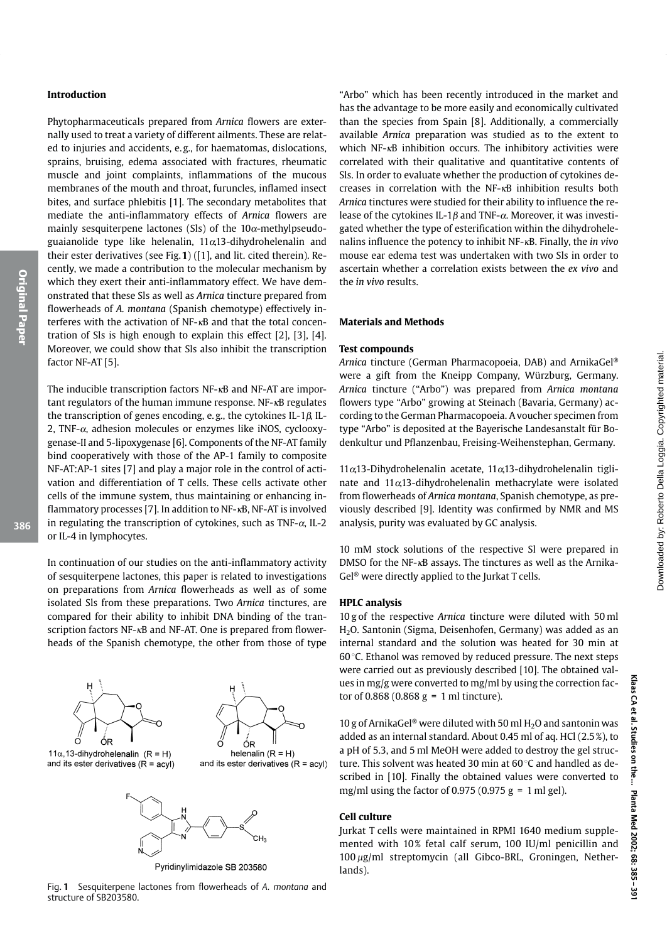## **Introduction**

Phytopharmaceuticals prepared from Arnica flowers are externally used to treat a variety of different ailments. These are related to injuries and accidents, e.g., for haematomas, dislocations, sprains, bruising, edema associated with fractures, rheumatic muscle and joint complaints, inflammations of the mucous membranes of the mouth and throat, furuncles, inflamed insect bites, and surface phlebitis [1]. The secondary metabolites that mediate the anti-inflammatory effects of Arnica flowers are mainly sesquiterpene lactones (Sls) of the  $10\alpha$ -methylpseudoguaianolide type like helenalin,  $11\alpha$ 13-dihydrohelenalin and their ester derivatives (see Fig. 1) ([1], and lit. cited therein). Recently, we made a contribution to the molecular mechanism by which they exert their anti-inflammatory effect. We have demonstrated that these SIs as well as Arnica tincture prepared from flowerheads of A. montana (Spanish chemotype) effectively interferes with the activation of NF-<sub>KB</sub> and that the total concentration of Sls is high enough to explain this effect  $[2]$ ,  $[3]$ ,  $[4]$ . Moreover, we could show that Sls also inhibit the transcription factor NF-AT [5].

The inducible transcription factors NF-<sub>KB</sub> and NF-AT are important regulators of the human immune response. NF-<sub>KB</sub> regulates the transcription of genes encoding, e.g., the cytokines IL-1 $\beta$ , IL-2, TNF- $\alpha$ , adhesion molecules or enzymes like iNOS, cyclooxygenase-II and 5-lipoxygenase [6]. Components of the NF-AT family bind cooperatively with those of the AP-1 family to composite NF-AT:AP-1 sites [7] and play a major role in the control of activation and differentiation of T cells. These cells activate other cells of the immune system, thus maintaining or enhancing inflammatory processes [7]. In addition to NF-KB, NF-AT is involved in regulating the transcription of cytokines, such as TNF- $\alpha$ , IL-2 or IL-4 in lymphocytes.

In continuation of our studies on the anti-inflammatory activity of sesquiterpene lactones, this paper is related to investigations on preparations from Arnica flowerheads as well as of some isolated SIs from these preparations. Two Arnica tinctures, are compared for their ability to inhibit DNA binding of the transcription factors NF-<sub>KB</sub> and NF-AT. One is prepared from flowerheads of the Spanish chemotype, the other from those of type





 $11\alpha$ , 13-dihydrohelenalin (R = H) and its ester derivatives  $(R = acyl)$ 

and its ester derivatives  $(R = acyl)$ 



Pyridinylimidazole SB 203580

Fig. 1 Sesquiterpene lactones from flowerheads of A. montana and structure of SB203580.

"Arbo" which has been recently introduced in the market and has the advantage to be more easily and economically cultivated than the species from Spain [8]. Additionally, a commercially available Arnica preparation was studied as to the extent to which NF-<sub>K</sub>B inhibition occurs. The inhibitory activities were correlated with their qualitative and quantitative contents of Sls. In order to evaluate whether the production of cytokines decreases in correlation with the NF-<sub>KB</sub> inhibition results both Arnica tinctures were studied for their ability to influence the release of the cytokines IL-1 $\beta$  and TNF- $\alpha$ . Moreover, it was investigated whether the type of esterification within the dihydrohelenalins influence the potency to inhibit  $NF - \kappa B$ . Finally, the *in vivo* mouse ear edema test was undertaken with two Sls in order to ascertain whether a correlation exists between the ex vivo and the in vivo results.

#### **Materials and Methods**

#### **Test compounds**

Arnica tincture (German Pharmacopoeia, DAB) and ArnikaGel® were a gift from the Kneipp Company, Würzburg, Germany. Arnica tincture ("Arbo") was prepared from Arnica montana flowers type "Arbo" growing at Steinach (Bavaria, Germany) according to the German Pharmacopoeia. A voucher specimen from type "Arbo" is deposited at the Bayerische Landesanstalt für Bodenkultur und Pflanzenbau, Freising-Weihenstephan, Germany.

 $11\alpha$ , 13-Dihydrohelenalin acetate,  $11\alpha$ , 13-dihydrohelenalin tiglinate and  $11\alpha$ 13-dihydrohelenalin methacrylate were isolated from flowerheads of Arnica montana, Spanish chemotype, as previously described [9]. Identity was confirmed by NMR and MS analysis, purity was evaluated by GC analysis.

10 mM stock solutions of the respective SI were prepared in DMSO for the NF- $\kappa$ B assays. The tinctures as well as the Arnika-Gel<sup>®</sup> were directly applied to the Jurkat T cells.

#### **HPLC** analysis

10 g of the respective Arnica tincture were diluted with 50 ml H<sub>2</sub>O. Santonin (Sigma, Deisenhofen, Germany) was added as an internal standard and the solution was heated for 30 min at  $60^{\circ}$ C. Ethanol was removed by reduced pressure. The next steps were carried out as previously described [10]. The obtained values in mg/g were converted to mg/ml by using the correction factor of 0.868 (0.868  $g = 1$  ml tincture).

10 g of ArnikaGel® were diluted with 50 ml  $H_2$ O and santonin was added as an internal standard. About 0.45 ml of aq. HCl (2.5%), to a pH of 5.3, and 5 ml MeOH were added to destroy the gel structure. This solvent was heated 30 min at 60 °C and handled as described in [10]. Finally the obtained values were converted to mg/ml using the factor of 0.975 (0.975 g = 1 ml gel).

#### Cell culture

Jurkat T cells were maintained in RPMI 1640 medium supplemented with 10% fetal calf serum, 100 IU/ml penicillin and 100 µg/ml streptomycin (all Gibco-BRL, Groningen, Netherlands).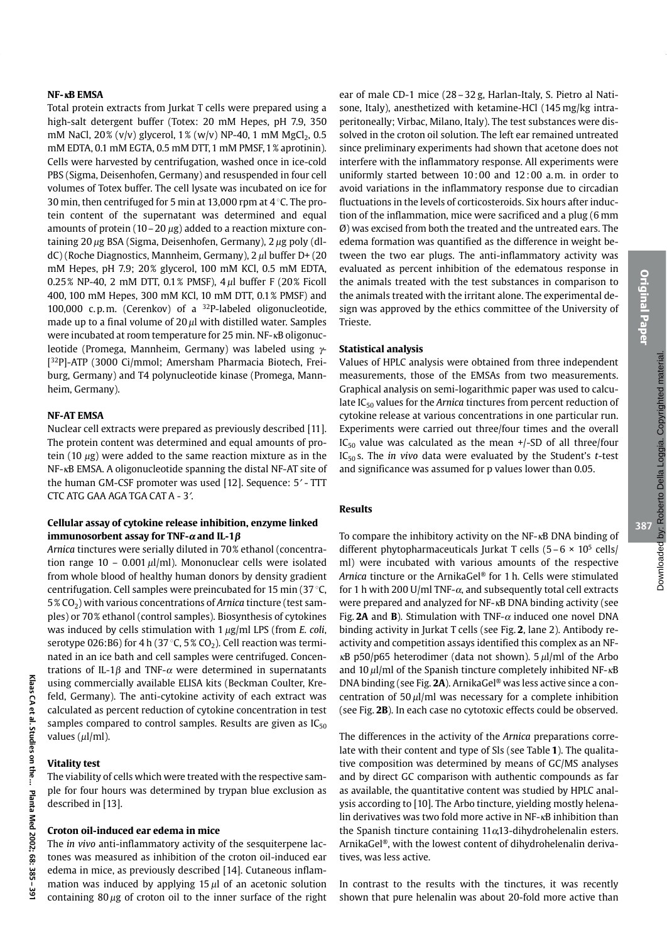## $NF - \kappa B$  EMSA

Total protein extracts from Jurkat T cells were prepared using a high-salt detergent buffer (Totex: 20 mM Hepes, pH 7.9, 350 mM NaCl, 20% (v/v) glycerol, 1% (w/v) NP-40, 1 mM MgCl<sub>2</sub>, 0.5 mM EDTA, 0.1 mM EGTA, 0.5 mM DTT, 1 mM PMSF, 1 % aprotinin). Cells were harvested by centrifugation, washed once in ice-cold PBS (Sigma, Deisenhofen, Germany) and resuspended in four cell volumes of Totex buffer. The cell lysate was incubated on ice for 30 min, then centrifuged for 5 min at 13,000 rpm at 4 °C. The protein content of the supernatant was determined and equal amounts of protein ( $10-20 \mu$ g) added to a reaction mixture containing 20  $\mu$ g BSA (Sigma, Deisenhofen, Germany), 2  $\mu$ g poly (dldC) (Roche Diagnostics, Mannheim, Germany), 2 µl buffer D+ (20 mM Hepes, pH 7.9; 20% glycerol, 100 mM KCl, 0.5 mM EDTA, 0.25% NP-40, 2 mM DTT, 0.1% PMSF), 4  $\mu$ l buffer F (20% Ficoll 400, 100 mM Hepes, 300 mM KCl, 10 mM DTT, 0.1% PMSF) and 100,000 c.p.m. (Cerenkov) of a <sup>32</sup>P-labeled oligonucleotide, made up to a final volume of  $20 \mu l$  with distilled water. Samples were incubated at room temperature for 25 min. NF-KB oligonucleotide (Promega, Mannheim, Germany) was labeled using  $\gamma$ -[32P]-ATP (3000 Ci/mmol; Amersham Pharmacia Biotech, Freiburg, Germany) and T4 polynucleotide kinase (Promega, Mannheim, Germany).

# **NF-AT EMSA**

Nuclear cell extracts were prepared as previously described [11]. The protein content was determined and equal amounts of protein (10  $\mu$ g) were added to the same reaction mixture as in the NF-KB EMSA. A oligonucleotide spanning the distal NF-AT site of the human GM-CSF promoter was used [12]. Sequence: 5' - TTT CTC ATG GAA AGA TGA CAT A - 3'.

## Cellular assay of cytokine release inhibition, enzyme linked immunosorbent assay for TNF- $\alpha$  and IL-1 $\beta$

Arnica tinctures were serially diluted in 70% ethanol (concentration range  $10 - 0.001 \mu I/ml$ ). Mononuclear cells were isolated from whole blood of healthy human donors by density gradient centrifugation. Cell samples were preincubated for 15 min (37 $\degree$ C,  $5\%$  CO<sub>2</sub>) with various concentrations of Arnica tincture (test samples) or 70% ethanol (control samples). Biosynthesis of cytokines was induced by cells stimulation with  $1 \mu g/ml$  LPS (from *E. coli,* serotype 026:B6) for 4 h (37 °C,  $5\%$  CO<sub>2</sub>). Cell reaction was terminated in an ice bath and cell samples were centrifuged. Concentrations of IL-1 $\beta$  and TNF- $\alpha$  were determined in supernatants using commercially available ELISA kits (Beckman Coulter, Krefeld, Germany). The anti-cytokine activity of each extract was calculated as percent reduction of cytokine concentration in test samples compared to control samples. Results are given as  $IC_{50}$ values  $(\mu l/ml)$ .

# **Vitality test**

The viability of cells which were treated with the respective sample for four hours was determined by trypan blue exclusion as described in [13].

## Croton oil-induced ear edema in mice

The in vivo anti-inflammatory activity of the sesquiterpene lactones was measured as inhibition of the croton oil-induced ear edema in mice, as previously described [14]. Cutaneous inflammation was induced by applying  $15 \mu l$  of an acetonic solution containing  $80 \mu g$  of croton oil to the inner surface of the right

ear of male CD-1 mice (28 - 32 g, Harlan-Italy, S. Pietro al Natisone, Italy), anesthetized with ketamine-HCl (145 mg/kg intraperitoneally; Virbac, Milano, Italy). The test substances were dissolved in the croton oil solution. The left ear remained untreated since preliminary experiments had shown that acetone does not interfere with the inflammatory response. All experiments were uniformly started between  $10:00$  and  $12:00$  a.m. in order to avoid variations in the inflammatory response due to circadian fluctuations in the levels of corticosteroids. Six hours after induction of the inflammation, mice were sacrificed and a plug (6 mm  $\varnothing$ ) was excised from both the treated and the untreated ears. The edema formation was quantified as the difference in weight between the two ear plugs. The anti-inflammatory activity was evaluated as percent inhibition of the edematous response in the animals treated with the test substances in comparison to the animals treated with the irritant alone. The experimental design was approved by the ethics committee of the University of Trieste.

#### **Statistical analysis**

Values of HPLC analysis were obtained from three independent measurements, those of the EMSAs from two measurements. Graphical analysis on semi-logarithmic paper was used to calculate  $IC_{50}$  values for the Arnica tinctures from percent reduction of cytokine release at various concentrations in one particular run. Experiments were carried out three/four times and the overall  $IC_{50}$  value was calculated as the mean +/-SD of all three/four  $IC_{50}$  s. The *in vivo* data were evaluated by the Student's t-test and significance was assumed for p values lower than 0.05.

## **Results**

To compare the inhibitory activity on the NF-<sub>KB</sub> DNA binding of different phytopharmaceuticals Jurkat T cells  $(5-6 \times 10^5 \text{ cells})$ ml) were incubated with various amounts of the respective Arnica tincture or the ArnikaGel® for 1 h. Cells were stimulated for 1 h with 200 U/ml TNF- $\alpha$ , and subsequently total cell extracts were prepared and analyzed for NF-<sub>K</sub>B DNA binding activity (see Fig. 2A and B). Stimulation with TNF- $\alpha$  induced one novel DNA binding activity in Jurkat T cells (see Fig. 2, lane 2). Antibody reactivity and competition assays identified this complex as an NF- $\kappa$ B p50/p65 heterodimer (data not shown). 5  $\mu$ l/ml of the Arbo and  $10 \mu$ l/ml of the Spanish tincture completely inhibited NF- $\kappa$ B DNA binding (see Fig. 2A). ArnikaGel® was less active since a concentration of  $50 \mu$ l/ml was necessary for a complete inhibition (see Fig. 2B). In each case no cytotoxic effects could be observed.

The differences in the activity of the Arnica preparations correlate with their content and type of Sls (see Table 1). The qualitative composition was determined by means of GC/MS analyses and by direct GC comparison with authentic compounds as far as available, the quantitative content was studied by HPLC analvsis according to [10]. The Arbo tincture, vielding mostly helenalin derivatives was two fold more active in NF-<sub>KB</sub> inhibition than the Spanish tincture containing  $11\alpha 13$ -dihydrohelenalin esters. ArnikaGel®, with the lowest content of dihydrohelenalin derivatives, was less active.

In contrast to the results with the tinctures, it was recently shown that pure helenalin was about 20-fold more active than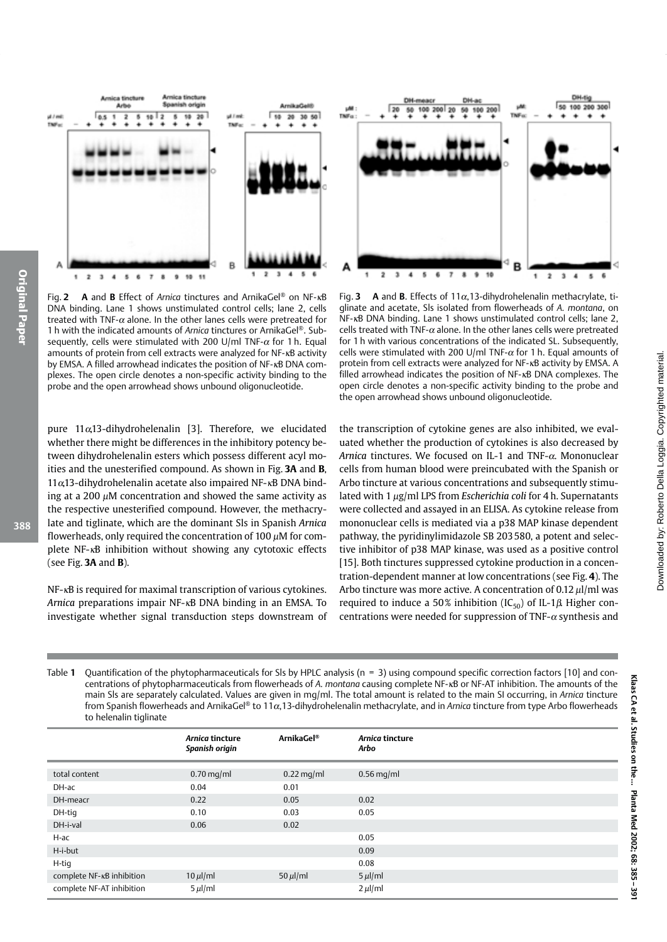

A and B Effect of Arnica tinctures and ArnikaGel® on NF-KB Fig. 2 DNA binding. Lane 1 shows unstimulated control cells; lane 2, cells treated with TNF- $\alpha$  alone. In the other lanes cells were pretreated for 1 h with the indicated amounts of *Arnica* tinctures or ArnikaGel<sup>®</sup>. Subsequently, cells were stimulated with 200 U/ml TNF- $\alpha$  for 1 h. Equal amounts of protein from cell extracts were analyzed for NF-KB activity by EMSA. A filled arrowhead indicates the position of NF-<sub>K</sub>B DNA complexes. The open circle denotes a non-specific activity binding to the probe and the open arrowhead shows unbound oligonucleotide.

pure  $11\alpha$ , 13-dihydrohelenalin [3]. Therefore, we elucidated whether there might be differences in the inhibitory potency between dihydrohelenalin esters which possess different acyl moities and the unesterified compound. As shown in Fig. 3A and B, 11a,13-dihydrohelenalin acetate also impaired NF-KB DNA binding at a 200  $\mu$ M concentration and showed the same activity as the respective unesterified compound. However, the methacrylate and tiglinate, which are the dominant SIs in Spanish Arnica flowerheads, only required the concentration of 100  $\mu$ M for complete NF-<sub>K</sub>B inhibition without showing any cytotoxic effects (see Fig.  $3A$  and  $B$ ).

NF-<sub>K</sub>B is required for maximal transcription of various cytokines. Arnica preparations impair NF-<sub>KB</sub> DNA binding in an EMSA. To investigate whether signal transduction steps downstream of



A and B. Effects of  $11\alpha$ , 13-dihydrohelenalin methacrylate, ti-Fig.  $3$ glinate and acetate, SIs isolated from flowerheads of A. montana, on NF-KB DNA binding. Lane 1 shows unstimulated control cells; lane 2, cells treated with TNF- $\alpha$  alone. In the other lanes cells were pretreated for 1 h with various concentrations of the indicated SL. Subsequently, cells were stimulated with 200 U/ml TNF- $\alpha$  for 1 h. Equal amounts of protein from cell extracts were analyzed for NF-KB activity by EMSA. A filled arrowhead indicates the position of NF-KB DNA complexes. The open circle denotes a non-specific activity binding to the probe and the open arrowhead shows unbound oligonucleotide.

the transcription of cytokine genes are also inhibited, we evaluated whether the production of cytokines is also decreased by Arnica tinctures. We focused on IL-1 and TNF- $\alpha$ . Mononuclear cells from human blood were preincubated with the Spanish or Arbo tincture at various concentrations and subsequently stimulated with 1 µg/ml LPS from Escherichia coli for 4 h. Supernatants were collected and assayed in an ELISA. As cytokine release from mononuclear cells is mediated via a p38 MAP kinase dependent pathway, the pyridinylimidazole SB 203580, a potent and selective inhibitor of p38 MAP kinase, was used as a positive control [15]. Both tinctures suppressed cytokine production in a concentration-dependent manner at low concentrations (see Fig. 4). The Arbo tincture was more active. A concentration of 0.12  $\mu$ l/ml was required to induce a 50% inhibition (IC<sub>50</sub>) of IL-1 $\beta$ . Higher concentrations were needed for suppression of TNF- $\alpha$  synthesis and

Table 1 Quantification of the phytopharmaceuticals for Sls by HPLC analysis (n = 3) using compound specific correction factors [10] and concentrations of phytopharmaceuticals from flowerheads of A. montana causing complete NF-xB or NF-AT inhibition. The amounts of the main SIs are separately calculated. Values are given in mg/ml. The total amount is related to the main SI occurring, in Arnica tincture from Spanish flowerheads and ArnikaGel® to 11 $\alpha$ , 13-dihydrohelenalin methacrylate, and in Arnica tincture from type Arbo flowerheads to helenalin tiglinate

|                                       | Arnica tincture<br>Spanish origin | ArnikaGel <sup>®</sup> | Arnica tincture<br>Arbo |
|---------------------------------------|-----------------------------------|------------------------|-------------------------|
| total content                         | $0.70$ mg/ml                      | $0.22$ mg/ml           | $0.56$ mg/ml            |
| DH-ac                                 | 0.04                              | 0.01                   |                         |
| DH-meacr                              | 0.22                              | 0.05                   | 0.02                    |
| DH-tig                                | 0.10                              | 0.03                   | 0.05                    |
| DH-i-val                              | 0.06                              | 0.02                   |                         |
| H-ac                                  |                                   |                        | 0.05                    |
| H-i-but                               |                                   |                        | 0.09                    |
| H-tig                                 |                                   |                        | 0.08                    |
| complete NF- <sub>KB</sub> inhibition | $10 \mu$ l/ml                     | 50 $\mu$ l/ml          | $5 \mu$ l/ml            |
| complete NF-AT inhibition             | $5 \mu$ l/ml                      |                        | $2 \mu$ l/ml            |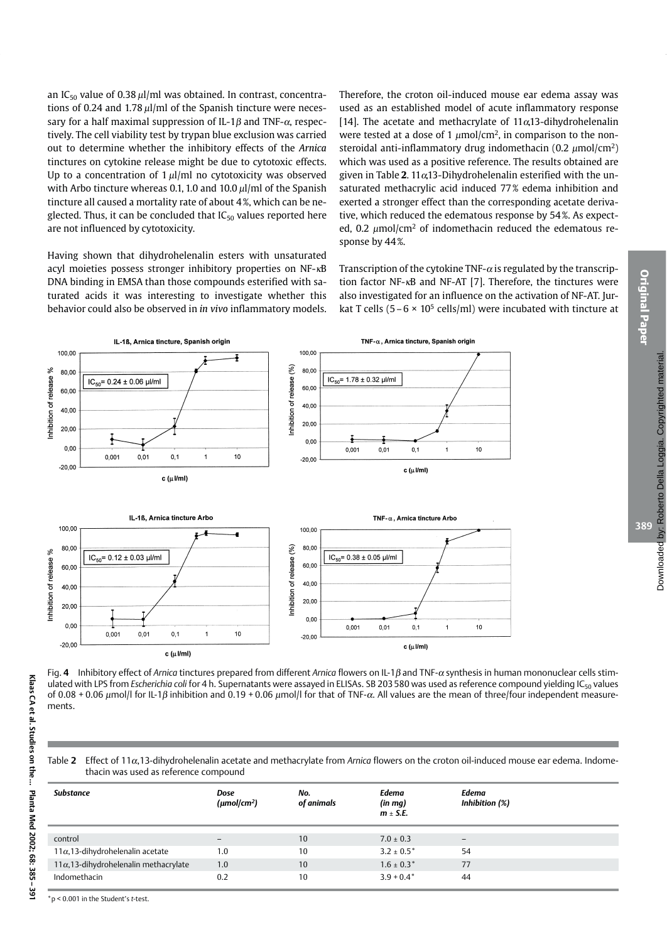an IC<sub>50</sub> value of 0.38  $\mu$ l/ml was obtained. In contrast, concentrations of 0.24 and 1.78  $\mu$ l/ml of the Spanish tincture were necessary for a half maximal suppression of IL-1 $\beta$  and TNF- $\alpha$ , respectively. The cell viability test by trypan blue exclusion was carried out to determine whether the inhibitory effects of the Arnica tinctures on cytokine release might be due to cytotoxic effects. Up to a concentration of  $1 \mu$ l/ml no cytotoxicity was observed with Arbo tincture whereas 0.1, 1.0 and 10.0  $\mu$ l/ml of the Spanish tincture all caused a mortality rate of about 4%, which can be neglected. Thus, it can be concluded that  $IC_{50}$  values reported here are not influenced by cytotoxicity.

Having shown that dihydrohelenalin esters with unsaturated acyl moieties possess stronger inhibitory properties on NF-KB DNA binding in EMSA than those compounds esterified with saturated acids it was interesting to investigate whether this behavior could also be observed in *in vivo* inflammatory models. Therefore, the croton oil-induced mouse ear edema assay was used as an established model of acute inflammatory response [14]. The acetate and methacrylate of  $11\alpha$ 13-dihydrohelenalin were tested at a dose of 1  $\mu$ mol/cm<sup>2</sup>, in comparison to the nonsteroidal anti-inflammatory drug indomethacin (0.2  $\mu$ mol/cm<sup>2</sup>) which was used as a positive reference. The results obtained are given in Table 2. 11 $\alpha$ 13-Dihydrohelenalin esterified with the unsaturated methacrylic acid induced 77% edema inhibition and exerted a stronger effect than the corresponding acetate derivative, which reduced the edematous response by 54%. As expected, 0.2  $\mu$ mol/cm<sup>2</sup> of indomethacin reduced the edematous response by 44%.

Transcription of the cytokine TNF- $\alpha$  is regulated by the transcription factor NF-<sub>KB</sub> and NF-AT [7]. Therefore, the tinctures were also investigated for an influence on the activation of NF-AT. Jurkat T cells (5 – 6  $\times$  10<sup>5</sup> cells/ml) were incubated with tincture at



Fig. 4 Inhibitory effect of Arnica tinctures prepared from different Arnica flowers on IL-1 $\beta$  and TNF- $\alpha$  synthesis in human mononuclear cells stimulated with LPS from Escherichia coli for 4 h. Supernatants were assayed in ELISAs. SB 203580 was used as reference compound yielding IC<sub>50</sub> values of 0.08 + 0.06  $\mu$ mol/l for IL-1 $\beta$  inhibition and 0.19 + 0.06  $\mu$ mol/l for that of TNF- $\alpha$ . All values are the mean of three/four independent measurements

Table 2 Effect of 11 $\alpha$ , 13-dihydrohelenalin acetate and methacrylate from Arnica flowers on the croton oil-induced mouse ear edema. Indomethacin was used as reference compound

| <b>Substance</b>                              | Dose<br>$(\mu \text{mol/cm}^2)$ | No.<br>of animals | Edema<br>$(in\,mq)$<br>$m \pm S.E.$ | Edema<br>Inhibition (%) |
|-----------------------------------------------|---------------------------------|-------------------|-------------------------------------|-------------------------|
| control                                       | $\overline{\phantom{0}}$        | 10                | $7.0 \pm 0.3$                       | $\qquad \qquad -$       |
| $11\alpha$ , 13-dihydrohelenalin acetate      | 1.0                             | 10                | $3.2 \pm 0.5^*$                     | 54                      |
| $11\alpha$ , 13-dihydrohelenalin methacrylate | 1.0                             | 10                | $1.6 \pm 0.3*$                      | 77                      |
| Indomethacin                                  | 0.2                             | 10                | $3.9 + 0.4*$                        | 44                      |

Klaas CA et al. Studies on the .... Planta Med 2002; 68: 385-39

 $*$  p < 0.001 in the Student's t-test.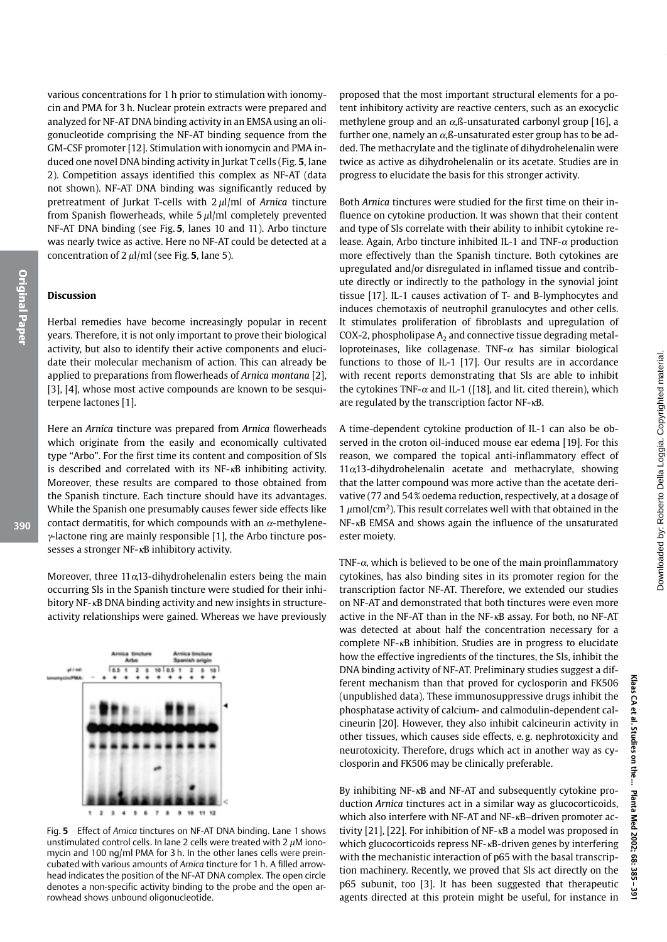various concentrations for 1 h prior to stimulation with ionomycin and PMA for 3 h. Nuclear protein extracts were prepared and analyzed for NF-AT DNA binding activity in an EMSA using an oligonucleotide comprising the NF-AT binding sequence from the GM-CSF promoter [12]. Stimulation with ionomycin and PMA induced one novel DNA binding activity in Jurkat T cells (Fig. 5, lane 2). Competition assays identified this complex as NF-AT (data not shown). NF-AT DNA binding was significantly reduced by pretreatment of Jurkat T-cells with  $2 \mu$ l/ml of Arnica tincture from Spanish flowerheads, while  $5 \mu$ l/ml completely prevented NF-AT DNA binding (see Fig. 5, lanes 10 and 11). Arbo tincture was nearly twice as active. Here no NF-AT could be detected at a concentration of  $2 \mu l$ /ml (see Fig. 5, lane 5).

# **Discussion**

Herbal remedies have become increasingly popular in recent years. Therefore, it is not only important to prove their biological activity, but also to identify their active components and elucidate their molecular mechanism of action. This can already be applied to preparations from flowerheads of Arnica montana [2]. [3], [4], whose most active compounds are known to be sesquiterpene lactones [1].

Here an Arnica tincture was prepared from Arnica flowerheads which originate from the easily and economically cultivated type "Arbo". For the first time its content and composition of Sls is described and correlated with its NF-KB inhibiting activity. Moreover, these results are compared to those obtained from the Spanish tincture. Each tincture should have its advantages. While the Spanish one presumably causes fewer side effects like contact dermatitis, for which compounds with an  $\alpha$ -methylene- $\gamma$ -lactone ring are mainly responsible [1], the Arbo tincture possesses a stronger NF-<sub>K</sub>B inhibitory activity.

Moreover, three  $11\alpha$ , 13-dihydrohelenalin esters being the main occurring Sls in the Spanish tincture were studied for their inhibitory NF-<sub>K</sub>B DNA binding activity and new insights in structureactivity relationships were gained. Whereas we have previously

Fig. 5 Effect of Arnica tinctures on NF-AT DNA binding. Lane 1 shows unstimulated control cells. In lane 2 cells were treated with 2  $\mu$ M ionomycin and 100 ng/ml PMA for 3 h. In the other lanes cells were preincubated with various amounts of Arnica tincture for 1 h. A filled arrowhead indicates the position of the NF-AT DNA complex. The open circle denotes a non-specific activity binding to the probe and the open arrowhead shows unbound oligonucleotide.

proposed that the most important structural elements for a potent inhibitory activity are reactive centers, such as an exocyclic methylene group and an  $\alpha$ ,  $\beta$ -unsaturated carbonyl group [16], a further one, namely an  $\alpha$ ,  $\beta$ -unsaturated ester group has to be added. The methacrylate and the tiglinate of dihydrohelenalin were twice as active as dihydrohelenalin or its acetate. Studies are in progress to elucidate the basis for this stronger activity.

Both Arnica tinctures were studied for the first time on their influence on cytokine production. It was shown that their content and type of Sls correlate with their ability to inhibit cytokine release. Again, Arbo tincture inhibited IL-1 and TNF- $\alpha$  production more effectively than the Spanish tincture. Both cytokines are upregulated and/or disregulated in inflamed tissue and contribute directly or indirectly to the pathology in the synovial joint tissue [17]. IL-1 causes activation of T- and B-lymphocytes and induces chemotaxis of neutrophil granulocytes and other cells. It stimulates proliferation of fibroblasts and upregulation of COX-2, phospholipase  $A_2$  and connective tissue degrading metalloproteinases, like collagenase. TNF- $\alpha$  has similar biological functions to those of IL-1 [17]. Our results are in accordance with recent reports demonstrating that SIs are able to inhibit the cytokines TNF- $\alpha$  and IL-1 ([18], and lit, cited therein), which are regulated by the transcription factor  $NF - \kappa B$ .

A time-dependent cytokine production of IL-1 can also be observed in the croton oil-induced mouse ear edema [19]. For this reason, we compared the topical anti-inflammatory effect of  $11\alpha$ , 13-dihydrohelenalin acetate and methacrylate, showing that the latter compound was more active than the acetate derivative (77 and 54% oedema reduction, respectively, at a dosage of 1  $\mu$ mol/cm<sup>2</sup>). This result correlates well with that obtained in the  $NF$ - $\kappa$ B EMSA and shows again the influence of the unsaturated ester moiety.

TNF- $\alpha$ , which is believed to be one of the main proinflammatory cytokines, has also binding sites in its promoter region for the transcription factor NF-AT. Therefore, we extended our studies on NF-AT and demonstrated that both tinctures were even more active in the NF-AT than in the NF-KB assay. For both, no NF-AT was detected at about half the concentration necessary for a complete NF-<sub>K</sub>B inhibition. Studies are in progress to elucidate how the effective ingredients of the tinctures, the SIs, inhibit the DNA binding activity of NF-AT. Preliminary studies suggest a different mechanism than that proved for cyclosporin and FK506 (unpublished data). These immunosuppressive drugs inhibit the phosphatase activity of calcium- and calmodulin-dependent calcineurin [20]. However, they also inhibit calcineurin activity in other tissues, which causes side effects, e.g. nephrotoxicity and neurotoxicity. Therefore, drugs which act in another way as cyclosporin and FK506 may be clinically preferable.

By inhibiting NF-<sub>KB</sub> and NF-AT and subsequently cytokine production Arnica tinctures act in a similar way as glucocorticoids. which also interfere with NF-AT and NF-<sub>KB</sub>-driven promoter activity [21], [22]. For inhibition of NF-<sub>KB</sub> a model was proposed in which glucocorticoids repress NF-<sub>KB</sub>-driven genes by interfering with the mechanistic interaction of p65 with the basal transcription machinery. Recently, we proved that Sls act directly on the p65 subunit, too [3]. It has been suggested that therapeutic agents directed at this protein might be useful, for instance in



390